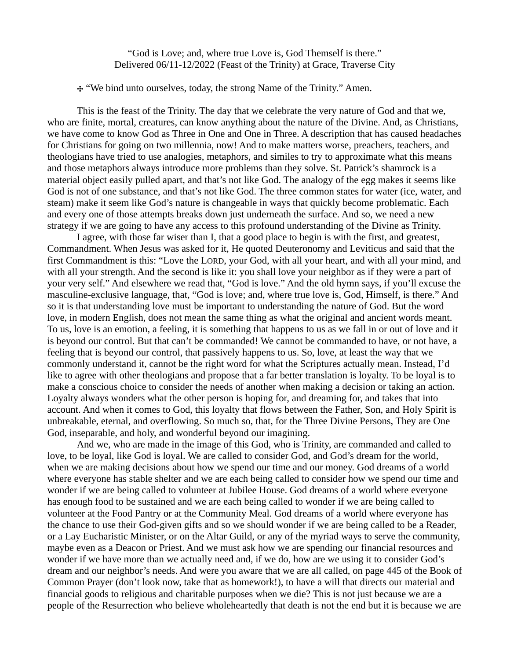"God is Love; and, where true Love is, God Themself is there." Delivered 06/11-12/2022 (Feast of the Trinity) at Grace, Traverse City

**⸭** "We bind unto ourselves, today, the strong Name of the Trinity." Amen.

This is the feast of the Trinity. The day that we celebrate the very nature of God and that we, who are finite, mortal, creatures, can know anything about the nature of the Divine. And, as Christians, we have come to know God as Three in One and One in Three. A description that has caused headaches for Christians for going on two millennia, now! And to make matters worse, preachers, teachers, and theologians have tried to use analogies, metaphors, and similes to try to approximate what this means and those metaphors always introduce more problems than they solve. St. Patrick's shamrock is a material object easily pulled apart, and that's not like God. The analogy of the egg makes it seems like God is not of one substance, and that's not like God. The three common states for water (ice, water, and steam) make it seem like God's nature is changeable in ways that quickly become problematic. Each and every one of those attempts breaks down just underneath the surface. And so, we need a new strategy if we are going to have any access to this profound understanding of the Divine as Trinity.

I agree, with those far wiser than I, that a good place to begin is with the first, and greatest, Commandment. When Jesus was asked for it, He quoted Deuteronomy and Leviticus and said that the first Commandment is this: "Love the LORD, your God, with all your heart, and with all your mind, and with all your strength. And the second is like it: you shall love your neighbor as if they were a part of your very self." And elsewhere we read that, "God is love." And the old hymn says, if you'll excuse the masculine-exclusive language, that, "God is love; and, where true love is, God, Himself, is there." And so it is that understanding love must be important to understanding the nature of God. But the word love, in modern English, does not mean the same thing as what the original and ancient words meant. To us, love is an emotion, a feeling, it is something that happens to us as we fall in or out of love and it is beyond our control. But that can't be commanded! We cannot be commanded to have, or not have, a feeling that is beyond our control, that passively happens to us. So, love, at least the way that we commonly understand it, cannot be the right word for what the Scriptures actually mean. Instead, I'd like to agree with other theologians and propose that a far better translation is loyalty. To be loyal is to make a conscious choice to consider the needs of another when making a decision or taking an action. Loyalty always wonders what the other person is hoping for, and dreaming for, and takes that into account. And when it comes to God, this loyalty that flows between the Father, Son, and Holy Spirit is unbreakable, eternal, and overflowing. So much so, that, for the Three Divine Persons, They are One God, inseparable, and holy, and wonderful beyond our imagining.

And we, who are made in the image of this God, who is Trinity, are commanded and called to love, to be loyal, like God is loyal. We are called to consider God, and God's dream for the world, when we are making decisions about how we spend our time and our money. God dreams of a world where everyone has stable shelter and we are each being called to consider how we spend our time and wonder if we are being called to volunteer at Jubilee House. God dreams of a world where everyone has enough food to be sustained and we are each being called to wonder if we are being called to volunteer at the Food Pantry or at the Community Meal. God dreams of a world where everyone has the chance to use their God-given gifts and so we should wonder if we are being called to be a Reader, or a Lay Eucharistic Minister, or on the Altar Guild, or any of the myriad ways to serve the community, maybe even as a Deacon or Priest. And we must ask how we are spending our financial resources and wonder if we have more than we actually need and, if we do, how are we using it to consider God's dream and our neighbor's needs. And were you aware that we are all called, on page 445 of the Book of Common Prayer (don't look now, take that as homework!), to have a will that directs our material and financial goods to religious and charitable purposes when we die? This is not just because we are a people of the Resurrection who believe wholeheartedly that death is not the end but it is because we are